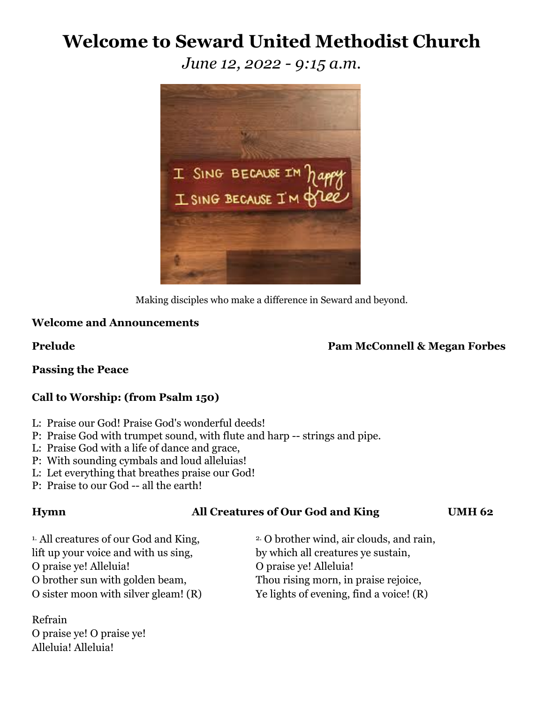# **Welcome to Seward United Methodist Church**

*June 12, 2022 - 9:15 a.m.*



Making disciples who make a difference in Seward and beyond.

# **Welcome and Announcements**

### **Prelude Pam McConnell & Megan Forbes**

**Passing the Peace**

# **Call to Worship: (from Psalm 150)**

- L: Praise our God! Praise God's wonderful deeds!
- P: Praise God with trumpet sound, with flute and harp -- strings and pipe.
- L: Praise God with a life of dance and grace,
- P: With sounding cymbals and loud alleluias!
- L: Let everything that breathes praise our God!
- P: Praise to our God -- all the earth!

### **Hymn All Creatures of Our God and King UMH 62**

<sup>1.</sup> All creatures of our God and King, <sup>2.</sup> O brother wind, air clouds, and rain, lift up your voice and with us sing, by which all creatures ye sustain, O praise ye! Alleluia! O praise ye! Alleluia! O brother sun with golden beam, Thou rising morn, in praise rejoice,

Refrain O praise ye! O praise ye! Alleluia! Alleluia!

O sister moon with silver gleam! (R) Ye lights of evening, find a voice! (R)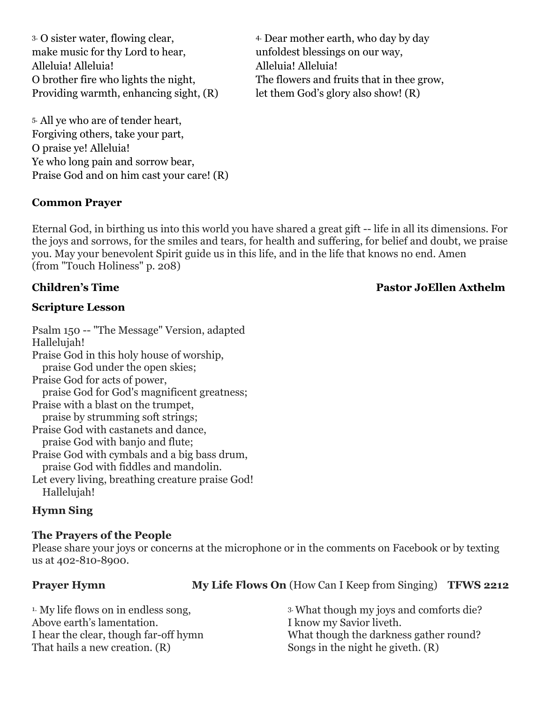<sup>3</sup> O sister water, flowing clear, <sup>4</sup> Dear mother earth, who day by day make music for thy Lord to hear, unfoldest blessings on our way, Alleluia! Alleluia! Alleluia! Alleluia! Providing warmth, enhancing sight,  $(R)$  let them God's glory also show!  $(R)$ 

O brother fire who lights the night, The flowers and fruits that in thee grow,

5. All ye who are of tender heart, Forgiving others, take your part, O praise ye! Alleluia! Ye who long pain and sorrow bear, Praise God and on him cast your care! (R)

# **Common Prayer**

Eternal God, in birthing us into this world you have shared a great gift -- life in all its dimensions. For the joys and sorrows, for the smiles and tears, for health and suffering, for belief and doubt, we praise you. May your benevolent Spirit guide us in this life, and in the life that knows no end. Amen (from "Touch Holiness" p. 208)

# **Scripture Lesson**

Psalm 150 -- "The Message" Version, adapted Hallelujah! Praise God in this holy house of worship, praise God under the open skies; Praise God for acts of power, praise God for God's magnificent greatness; Praise with a blast on the trumpet, praise by strumming soft strings; Praise God with castanets and dance, praise God with banjo and flute; Praise God with cymbals and a big bass drum, praise God with fiddles and mandolin. Let every living, breathing creature praise God! Hallelujah!

# **Hymn Sing**

# **The Prayers of the People**

Please share your joys or concerns at the microphone or in the comments on Facebook or by texting us at 402-810-8900.

# **Prayer Hymn My Life Flows On** (How Can I Keep from Singing) **TFWS 2212**

| <sup>1.</sup> My life flows on in endless song, | <sup>3</sup> What though my joys and comforts die? |
|-------------------------------------------------|----------------------------------------------------|
| Above earth's lamentation.                      | I know my Savior liveth.                           |
| I hear the clear, though far-off hymn           | What though the darkness gather round?             |
| That hails a new creation. (R)                  | Songs in the night he giveth. (R)                  |

# **Children's Time Pastor JoEllen Axthelm**